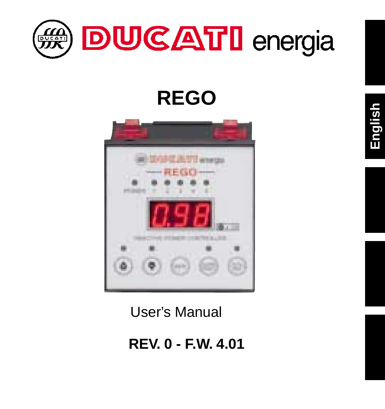

# **REGO**



User's Manual

**REV. 0 - F.W. 4.01**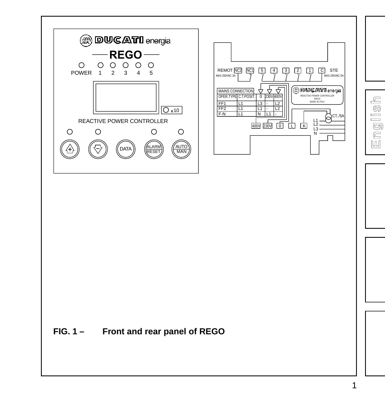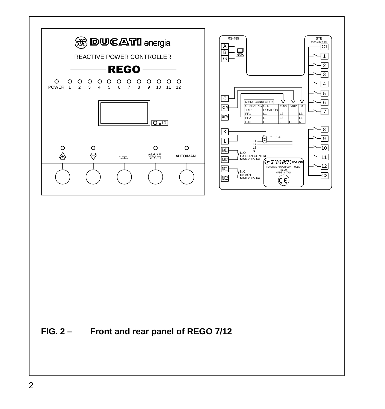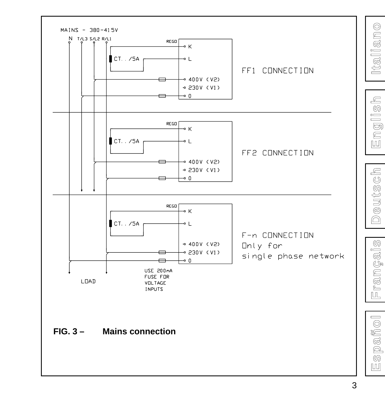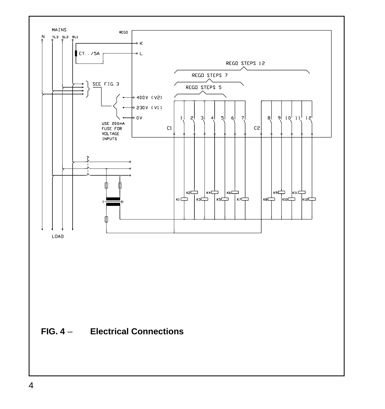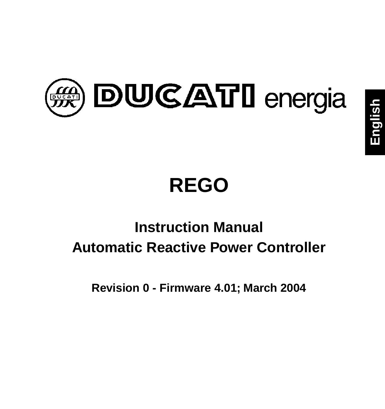

# **REGO**

## **Instruction Manual Automatic Reactive Power Controller**

**Revision 0 - Firmware 4.01; March 2004**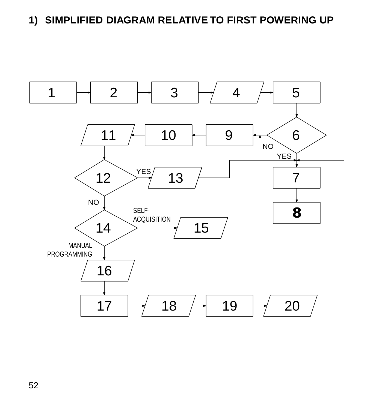#### **1) SIMPLIFIED DIAGRAM RELATIVE TO FIRST POWERING UP**

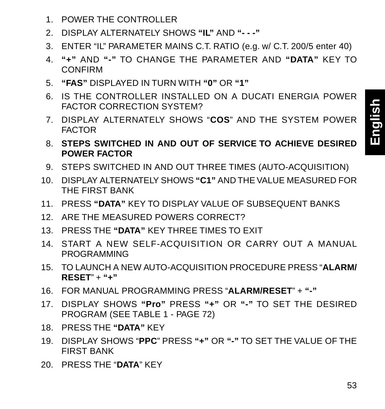- 1. POWER THE CONTROLLER
- 2. DISPLAY ALTERNATELY SHOWS **"IL"** AND **"- -"**
- 3. ENTER "IL" PARAMETER MAINS C.T. RATIO (e.g. w/ C.T. 200/5 enter 40)
- 4. **"+"** AND **"-"** TO CHANGE THE PARAMETER AND **"DATA"** KEY TO CONFIRM
- 5. **"FAS"** DISPLAYED IN TURN WITH **"0"** OR **"1"**
- 6. IS THE CONTROLLER INSTALLED ON A DUCATI ENERGIA POWER FACTOR CORRECTION SYSTEM?
- 7. DISPLAY ALTERNATELY SHOWS "**COS**" AND THE SYSTEM POWER **FACTOR**
- 8. **STEPS SWITCHED IN AND OUT OF SERVICE TO ACHIEVE DESIRED POWER FACTOR**
- 9. STEPS SWITCHED IN AND OUT THREE TIMES (AUTO-ACQUISITION)
- 10. DISPLAY ALTERNATELY SHOWS **"C1"** AND THE VALUE MEASURED FOR THE FIRST BANK
- 11. PRESS **"DATA"** KEY TO DISPLAY VALUE OF SUBSEQUENT BANKS
- 12. ARE THE MEASURED POWERS CORRECT?
- 13. PRESS THE **"DATA"** KEY THREE TIMES TO EXIT
- 14. START A NEW SELF-ACQUISITION OR CARRY OUT A MANUAL PROGRAMMING
- 15. TO LAUNCH A NEW AUTO-ACQUISITION PROCEDURE PRESS "**ALARM/ RESET**" + **"+"**
- 16. FOR MANUAL PROGRAMMING PRESS "**ALARM/RESET**" + **"-"**
- 17. DISPLAY SHOWS **"Pro"** PRESS **"+"** OR **"-"** TO SET THE DESIRED PROGRAM (SEE TABLE 1 - PAGE 72)
- 18. PRESS THE **"DATA"** KEY
- 19. DISPLAY SHOWS "**PPC**" PRESS **"+"** OR **"-"** TO SET THE VALUE OF THE FIRST BANK
- 20. PRESS THE "**DATA**" KEY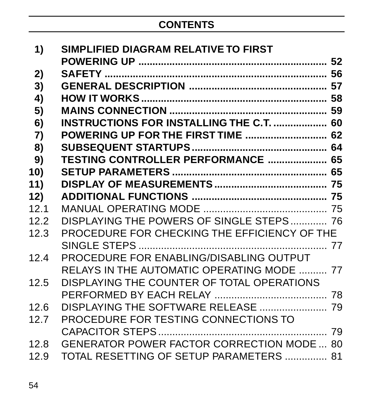#### **CONTENTS**

| 1)   | SIMPLIFIED DIAGRAM RELATIVE TO FIRST            |  |
|------|-------------------------------------------------|--|
|      |                                                 |  |
| 2)   |                                                 |  |
| 3)   |                                                 |  |
| 4)   |                                                 |  |
| 5)   |                                                 |  |
| 6)   | <b>INSTRUCTIONS FOR INSTALLING THE C.T.  60</b> |  |
| 7)   | <b>POWERING UP FOR THE FIRST TIME  62</b>       |  |
| 8)   |                                                 |  |
| 9)   | <b>TESTING CONTROLLER PERFORMANCE  65</b>       |  |
| 10)  |                                                 |  |
| 11)  |                                                 |  |
| 12)  |                                                 |  |
| 12.1 |                                                 |  |
| 12.2 | DISPLAYING THE POWERS OF SINGLE STEPS 76        |  |
| 12.3 | PROCEDURE FOR CHECKING THE EFFICIENCY OF THE    |  |
|      |                                                 |  |
| 12.4 | PROCEDURE FOR ENABLING/DISABLING OUTPUT         |  |
|      | RELAYS IN THE AUTOMATIC OPERATING MODE  77      |  |
| 12.5 | DISPLAYING THE COUNTER OF TOTAL OPERATIONS      |  |
|      |                                                 |  |
| 12.6 |                                                 |  |
| 12.7 | PROCEDURE FOR TESTING CONNECTIONS TO            |  |
|      |                                                 |  |
| 12.8 | GENERATOR POWER FACTOR CORRECTION MODE  80      |  |
| 12.9 | TOTAL RESETTING OF SETUP PARAMETERS  81         |  |
|      |                                                 |  |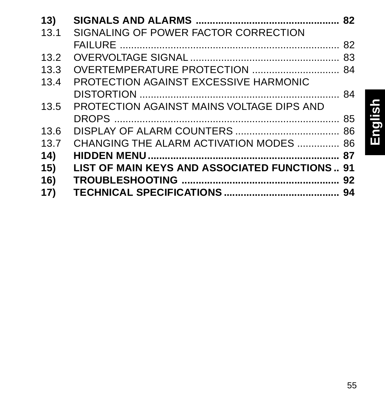| 13)               |                                               |  |
|-------------------|-----------------------------------------------|--|
| 13.1              | SIGNALING OF POWER FACTOR CORRECTION          |  |
|                   |                                               |  |
| 13.2              |                                               |  |
| 13.3 <sub>1</sub> | OVERTEMPERATURE PROTECTION  84                |  |
| 13.4              | PROTECTION AGAINST EXCESSIVE HARMONIC         |  |
|                   |                                               |  |
| 13.5              | PROTECTION AGAINST MAINS VOLTAGE DIPS AND     |  |
|                   |                                               |  |
| 13.6              |                                               |  |
| 13.7              | CHANGING THE ALARM ACTIVATION MODES  86       |  |
| 14)               |                                               |  |
| 15)               | LIST OF MAIN KEYS AND ASSOCIATED FUNCTIONS 91 |  |
| 16)               |                                               |  |
| 17)               |                                               |  |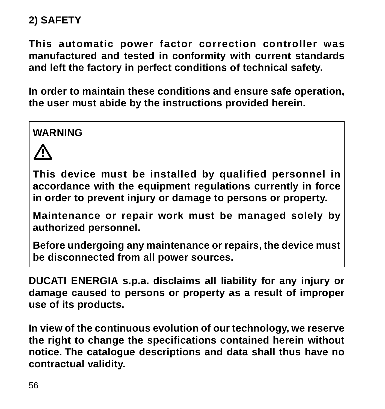#### **2) SAFETY**

**This automatic power factor correction controller was manufactured and tested in conformity with current standards and left the factory in perfect conditions of technical safety.**

**In order to maintain these conditions and ensure safe operation, the user must abide by the instructions provided herein.**

**WARNING**



**This device must be installed by qualified personnel in accordance with the equipment regulations currently in force in order to prevent injury or damage to persons or property.**

**Maintenance or repair work must be managed solely by authorized personnel.**

**Before undergoing any maintenance or repairs, the device must be disconnected from all power sources.**

**DUCATI ENERGIA s.p.a. disclaims all liability for any injury or damage caused to persons or property as a result of improper use of its products.**

**In view of the continuous evolution of our technology, we reserve the right to change the specifications contained herein without notice. The catalogue descriptions and data shall thus have no contractual validity.**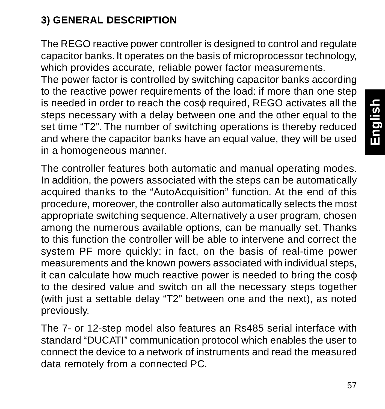#### **3) GENERAL DESCRIPTION**

The REGO reactive power controller is designed to control and regulate capacitor banks. It operates on the basis of microprocessor technology, which provides accurate, reliable power factor measurements.

The power factor is controlled by switching capacitor banks according to the reactive power requirements of the load: if more than one step is needed in order to reach the cosϕ required, REGO activates all the steps necessary with a delay between one and the other equal to the set time "T2". The number of switching operations is thereby reduced and where the capacitor banks have an equal value, they will be used in a homogeneous manner.

The controller features both automatic and manual operating modes. In addition, the powers associated with the steps can be automatically acquired thanks to the "AutoAcquisition" function. At the end of this procedure, moreover, the controller also automatically selects the most appropriate switching sequence. Alternatively a user program, chosen among the numerous available options, can be manually set. Thanks to this function the controller will be able to intervene and correct the system PF more quickly: in fact, on the basis of real-time power measurements and the known powers associated with individual steps, it can calculate how much reactive power is needed to bring the coso to the desired value and switch on all the necessary steps together (with just a settable delay "T2" between one and the next), as noted previously.

The 7- or 12-step model also features an Rs485 serial interface with standard "DUCATI" communication protocol which enables the user to connect the device to a network of instruments and read the measured data remotely from a connected PC.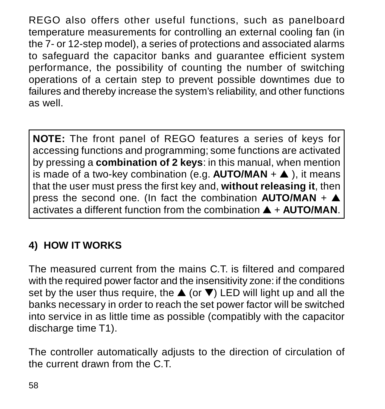REGO also offers other useful functions, such as panelboard temperature measurements for controlling an external cooling fan (in the 7- or 12-step model), a series of protections and associated alarms to safeguard the capacitor banks and guarantee efficient system performance, the possibility of counting the number of switching operations of a certain step to prevent possible downtimes due to failures and thereby increase the system's reliability, and other functions as well.

**NOTE:** The front panel of REGO features a series of keys for accessing functions and programming; some functions are activated by pressing a **combination of 2 keys**: in this manual, when mention is made of a two-key combination (e.g. **AUTO/MAN** + ▲ ), it means that the user must press the first key and, **without releasing it**, then press the second one. (In fact the combination **AUTO/MAN** + ▲ activates a different function from the combination ▲ + **AUTO/MAN**.

#### **4) HOW IT WORKS**

The measured current from the mains C.T. is filtered and compared with the required power factor and the insensitivity zone: if the conditions set by the user thus require, the  $\triangle$  (or  $\nabla$ ) LED will light up and all the banks necessary in order to reach the set power factor will be switched into service in as little time as possible (compatibly with the capacitor discharge time T1).

The controller automatically adjusts to the direction of circulation of the current drawn from the C.T.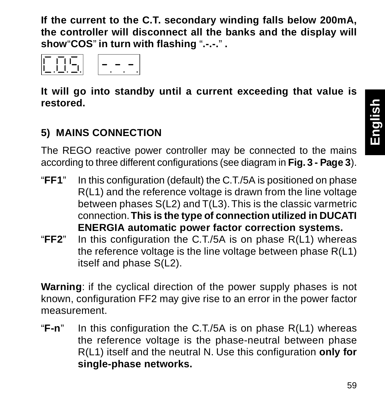**If the current to the C.T. secondary winding falls below 200mA, the controller will disconnect all the banks and the display will show**"**COS**" **in turn with flashing** "**.-.-.**" **.**



**It will go into standby until a current exceeding that value is restored.**

#### **5) MAINS CONNECTION**

The REGO reactive power controller may be connected to the mains according to three different configurations (see diagram in **Fig. 3 - Page 3**).

- "**FF1**" In this configuration (default) the C.T./5A is positioned on phase R(L1) and the reference voltage is drawn from the line voltage between phases S(L2) and T(L3). This is the classic varmetric connection. **This is the type of connection utilized in DUCATI ENERGIA automatic power factor correction systems.**
- "**FF2**" In this configuration the C.T./5A is on phase R(L1) whereas the reference voltage is the line voltage between phase R(L1) itself and phase S(L2).

**Warning**: if the cyclical direction of the power supply phases is not known, configuration FF2 may give rise to an error in the power factor measurement.

"**F-n**" In this configuration the C.T./5A is on phase R(L1) whereas the reference voltage is the phase-neutral between phase R(L1) itself and the neutral N. Use this configuration **only for single-phase networks.**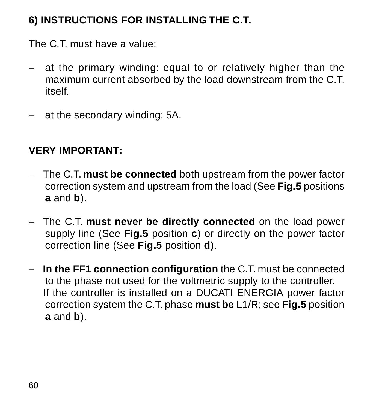#### **6) INSTRUCTIONS FOR INSTALLING THE C.T.**

The C.T. must have a value:

- at the primary winding: equal to or relatively higher than the maximum current absorbed by the load downstream from the C.T. itself.
- at the secondary winding: 5A.

#### **VERY IMPORTANT:**

- The C.T. **must be connected** both upstream from the power factor correction system and upstream from the load (See **Fig.5** positions **a** and **b**).
- The C.T. **must never be directly connected** on the load power supply line (See **Fig.5** position **c**) or directly on the power factor correction line (See **Fig.5** position **d**).
- **In the FF1 connection configuration** the C.T. must be connected to the phase not used for the voltmetric supply to the controller. If the controller is installed on a DUCATI ENERGIA power factor correction system the C.T. phase **must be** L1/R; see **Fig.5** position **a** and **b**).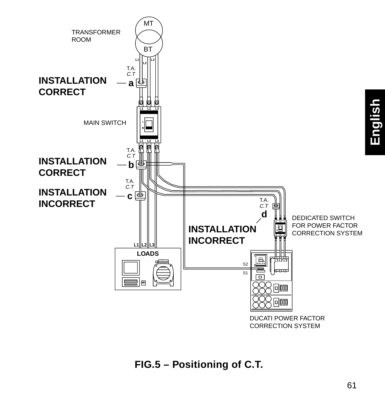

**FIG.5 – Positioning of C.T.**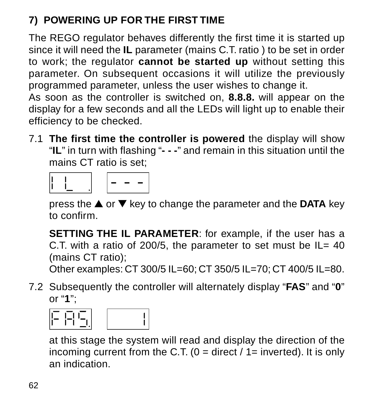### **7) POWERING UP FOR THE FIRST TIME**

The REGO regulator behaves differently the first time it is started up since it will need the **IL** parameter (mains C.T. ratio ) to be set in order to work; the regulator **cannot be started up** without setting this parameter. On subsequent occasions it will utilize the previously programmed parameter, unless the user wishes to change it.

As soon as the controller is switched on, **8.8.8.** will appear on the display for a few seconds and all the LEDs will light up to enable their efficiency to be checked.

7.1 **The first time the controller is powered** the display will show "**IL**" in turn with flashing "**- - -**" and remain in this situation until the mains CT ratio is set;

press the ▲ or ▼ key to change the parameter and the **DATA** key to confirm.

**SETTING THE IL PARAMETER**: for example, if the user has a C.T. with a ratio of 200/5, the parameter to set must be IL= 40 (mains CT ratio);

Other examples: CT 300/5 IL=60; CT 350/5 IL=70; CT 400/5 IL=80.

7.2 Subsequently the controller will alternately display "**FAS**" and "**0**" or "**1**";



at this stage the system will read and display the direction of the incoming current from the C.T. ( $0 =$  direct  $/ 1 =$  inverted). It is only an indication.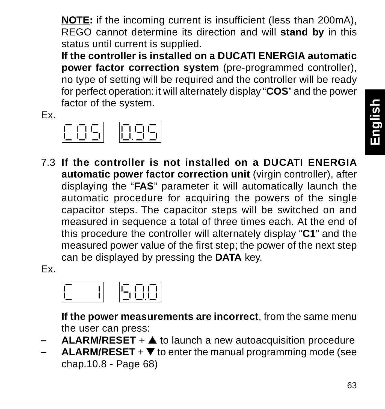**NOTE:** if the incoming current is insufficient (less than 200mA), REGO cannot determine its direction and will **stand by** in this status until current is supplied.

**If the controller is installed on a DUCATI ENERGIA automatic power factor correction system** (pre-programmed controller), no type of setting will be required and the controller will be ready for perfect operation: it will alternately display "**COS**" and the power factor of the system.

Ex.



7.3 **If the controller is not installed on a DUCATI ENERGIA automatic power factor correction unit** (virgin controller), after displaying the "**FAS**" parameter it will automatically launch the automatic procedure for acquiring the powers of the single capacitor steps. The capacitor steps will be switched on and measured in sequence a total of three times each. At the end of this procedure the controller will alternately display "**C1**" and the measured power value of the first step; the power of the next step can be displayed by pressing the **DATA** key.

Ex.



**If the power measurements are incorrect**, from the same menu the user can press:

- **ALARM/RESET** + ▲ to launch a new autoacquisition procedure
- $ALARM/RESET +  $\nabla$$  to enter the manual programming mode (see chap.10.8 - Page 68)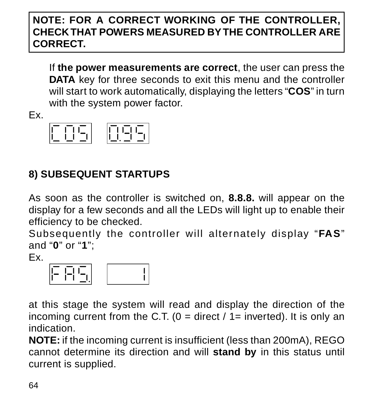#### **NOTE: FOR A CORRECT WORKING OF THE CONTROLLER, CHECK THAT POWERS MEASURED BY THE CONTROLLER ARE CORRECT.**

If **the power measurements are correct**, the user can press the **DATA** key for three seconds to exit this menu and the controller will start to work automatically, displaying the letters "**COS**" in turn with the system power factor.

Ex.



#### **8) SUBSEQUENT STARTUPS**

As soon as the controller is switched on, **8.8.8.** will appear on the display for a few seconds and all the LEDs will light up to enable their efficiency to be checked.

Subsequently the controller will alternately display "**FAS**" and "**0**" or "**1**";

Ex.



at this stage the system will read and display the direction of the incoming current from the C.T. ( $0 =$  direct  $/$  1= inverted). It is only an indication.

**NOTE:** if the incoming current is insufficient (less than 200mA), REGO cannot determine its direction and will **stand by** in this status until current is supplied.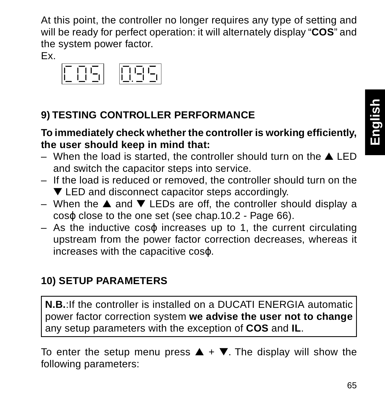At this point, the controller no longer requires any type of setting and will be ready for perfect operation: it will alternately display "**COS**" and the system power factor.

Ex.



#### **9) TESTING CONTROLLER PERFORMANCE**

#### **To immediately check whether the controller is working efficiently, the user should keep in mind that:**

- When the load is started, the controller should turn on the  $\triangle$  LED and switch the capacitor steps into service.
- If the load is reduced or removed, the controller should turn on the ▼ LED and disconnect capacitor steps accordingly.
- When the ▲ and ▼ LEDs are off, the controller should display a coso close to the one set (see chap.10.2 - Page 66).
- As the inductive cosϕ increases up to 1, the current circulating upstream from the power factor correction decreases, whereas it increases with the capacitive coso.

#### **10) SETUP PARAMETERS**

**N.B.**:If the controller is installed on a DUCATI ENERGIA automatic power factor correction system **we advise the user not to change** any setup parameters with the exception of **COS** and **IL**.

To enter the setup menu press  $\triangle + \nabla$ . The display will show the following parameters: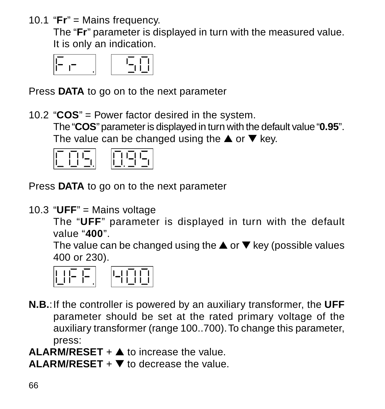10.1 "**Fr**" = Mains frequency.

The "**Fr**" parameter is displayed in turn with the measured value. It is only an indication.

$$
\begin{array}{|c|c|c|c|c|}\hline c & c & c \\\hline \end{array}
$$

Press **DATA** to go on to the next parameter

10.2 "**COS**" = Power factor desired in the system. The "**COS**" parameter is displayed in turn with the default value "**0.95**". The value can be changed using the  $\blacktriangle$  or  $\nabla$  key.



Press **DATA** to go on to the next parameter

10.3 "**UFF**" = Mains voltage

The "**UFF**" parameter is displayed in turn with the default value "**400**".

The value can be changed using the  $\triangle$  or  $\nabla$  key (possible values 400 or 230).



- **N.B.**:If the controller is powered by an auxiliary transformer, the **UFF** parameter should be set at the rated primary voltage of the auxiliary transformer (range 100..700). To change this parameter, press:
- **ALARM/RESET** + ▲ to increase the value.

**ALARM/RESET** + ▼ to decrease the value.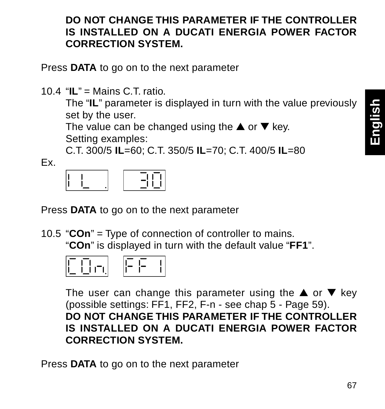#### **DO NOT CHANGE THIS PARAMETER IF THE CONTROLLER IS INSTALLED ON A DUCATI ENERGIA POWER FACTOR CORRECTION SYSTEM.**

Press **DATA** to go on to the next parameter

10.4 "**IL**" = Mains C.T. ratio.

The "**IL**" parameter is displayed in turn with the value previously set by the user.

The value can be changed using the  $\blacktriangle$  or  $\nabla$  key. Setting examples:

C.T. 300/5 **IL**=60; C.T. 350/5 **IL**=70; C.T. 400/5 **IL**=80

Ex.

|--|--|--|

Press **DATA** to go on to the next parameter

10.5 "**COn**" = Type of connection of controller to mains. "**COn**" is displayed in turn with the default value "**FF1**".



The user can change this parameter using the  $\blacktriangle$  or  $\nabla$  key (possible settings: FF1, FF2, F-n - see chap 5 - Page 59). **DO NOT CHANGE THIS PARAMETER IF THE CONTROLLER IS INSTALLED ON A DUCATI ENERGIA POWER FACTOR CORRECTION SYSTEM.**

Press **DATA** to go on to the next parameter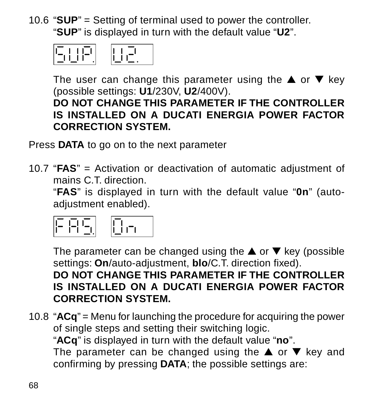10.6 "**SUP**" = Setting of terminal used to power the controller. "**SUP**" is displayed in turn with the default value "**U2**".



The user can change this parameter using the  $\triangle$  or  $\nabla$  key (possible settings: **U1**/230V, **U2**/400V).

#### **DO NOT CHANGE THIS PARAMETER IF THE CONTROLLER IS INSTALLED ON A DUCATI ENERGIA POWER FACTOR CORRECTION SYSTEM.**

Press **DATA** to go on to the next parameter

10.7 "**FAS**" = Activation or deactivation of automatic adjustment of mains C.T. direction.

"**FAS**" is displayed in turn with the default value "**0n**" (autoadiustment enabled).

The parameter can be changed using the  $\triangle$  or  $\nabla$  key (possible settings: **On**/auto-adjustment, **blo**/C.T. direction fixed). **DO NOT CHANGE THIS PARAMETER IF THE CONTROLLER IS INSTALLED ON A DUCATI ENERGIA POWER FACTOR CORRECTION SYSTEM.**

10.8 "**ACq**" = Menu for launching the procedure for acquiring the power of single steps and setting their switching logic. "**ACq**" is displayed in turn with the default value "**no**". The parameter can be changed using the  $\blacktriangle$  or  $\nabla$  key and confirming by pressing **DATA**; the possible settings are: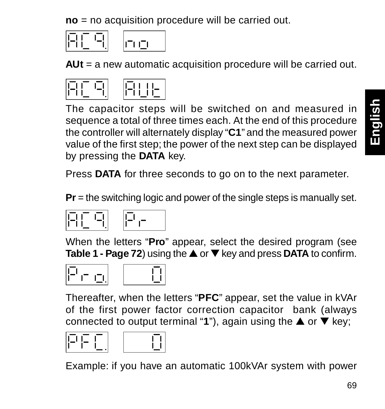**no** = no acquisition procedure will be carried out.

**AUt** = a new automatic acquisition procedure will be carried out.



The capacitor steps will be switched on and measured in sequence a total of three times each. At the end of this procedure the controller will alternately display "**C1**" and the measured power value of the first step; the power of the next step can be displayed by pressing the **DATA** key.

Press **DATA** for three seconds to go on to the next parameter.

**Pr** = the switching logic and power of the single steps is manually set.



When the letters "**Pro**" appear, select the desired program (see **Table 1 - Page 72**) using the ▲ or ▼ key and press **DATA** to confirm.





Thereafter, when the letters "**PFC**" appear, set the value in kVAr of the first power factor correction capacitor bank (always connected to output terminal "**1**"), again using the ▲ or ▼ key;





Example: if you have an automatic 100kVAr system with power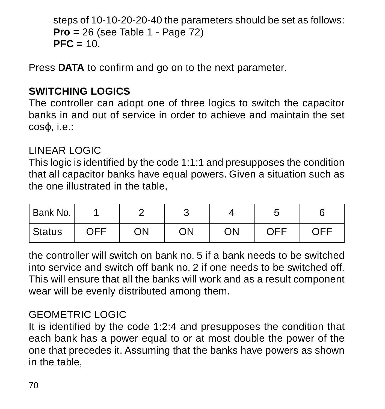```
steps of 10-10-20-20-40 the parameters should be set as follows:
Pro = 26 (see Table 1 - Page 72)
PFC = 10.
```
Press **DATA** to confirm and go on to the next parameter.

#### **SWITCHING LOGICS**

The controller can adopt one of three logics to switch the capacitor banks in and out of service in order to achieve and maintain the set coso ie.

#### LINEAR LOGIC

This logic is identified by the code 1:1:1 and presupposes the condition that all capacitor banks have equal powers. Given a situation such as the one illustrated in the table,

| Bank No. I |     |    |    |    |     |     |
|------------|-----|----|----|----|-----|-----|
| Status     | OFF | ON | OΝ | ON | OFF | OFF |

the controller will switch on bank no. 5 if a bank needs to be switched into service and switch off bank no. 2 if one needs to be switched off. This will ensure that all the banks will work and as a result component wear will be evenly distributed among them.

#### GEOMETRIC LOGIC

It is identified by the code 1:2:4 and presupposes the condition that each bank has a power equal to or at most double the power of the one that precedes it. Assuming that the banks have powers as shown in the table,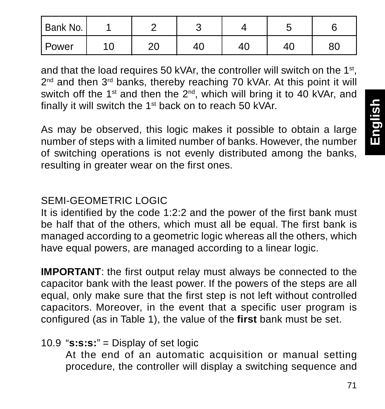| Bank No. |     |          |    |    |    |    |
|----------|-----|----------|----|----|----|----|
| l Power  | 1 C | nn<br>۷J | 41 | 40 | д. | ou |

and that the load requires 50 kVAr, the controller will switch on the 1st, 2<sup>nd</sup> and then 3<sup>rd</sup> banks, thereby reaching 70 kVAr. At this point it will switch off the 1<sup>st</sup> and then the  $2<sup>nd</sup>$ , which will bring it to 40 kVAr, and finally it will switch the 1st back on to reach 50 kVAr.

As may be observed, this logic makes it possible to obtain a large number of steps with a limited number of banks. However, the number of switching operations is not evenly distributed among the banks, resulting in greater wear on the first ones.

#### SEMI-GEOMETRIC LOGIC

It is identified by the code 1:2:2 and the power of the first bank must be half that of the others, which must all be equal. The first bank is managed according to a geometric logic whereas all the others, which have equal powers, are managed according to a linear logic.

**IMPORTANT**: the first output relay must always be connected to the capacitor bank with the least power. If the powers of the steps are all equal, only make sure that the first step is not left without controlled capacitors. Moreover, in the event that a specific user program is configured (as in Table 1), the value of the **first** bank must be set.

#### 10.9 "**s:s:s:**" = Display of set logic

At the end of an automatic acquisition or manual setting procedure, the controller will display a switching sequence and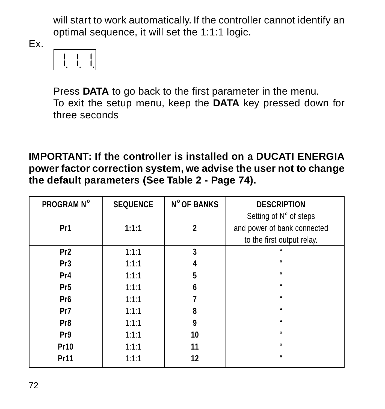will start to work automatically. If the controller cannot identify an optimal sequence, it will set the 1:1:1 logic.

Ex.



Press **DATA** to go back to the first parameter in the menu. To exit the setup menu, keep the **DATA** key pressed down for three seconds

**IMPORTANT: If the controller is installed on a DUCATI ENERGIA power factor correction system, we advise the user not to change the default parameters (See Table 2 - Page 74).**

| <b>PROGRAM N°</b> | <b>SEQUENCE</b> | <b>N° OF BANKS</b> | <b>DESCRIPTION</b>          |
|-------------------|-----------------|--------------------|-----------------------------|
|                   |                 |                    | Setting of N° of steps      |
| Pr1               | 1:1:1           | 2                  | and power of bank connected |
|                   |                 |                    | to the first output relay.  |
| Pr <sub>2</sub>   | 1:1:1           | 3                  |                             |
| Pr3               | 1:1:1           |                    | à.                          |
| Pr4               | 1:1:1           | 5                  | à.                          |
| Pr <sub>5</sub>   | 1:1:1           | 6                  | à.                          |
| Pr <sub>6</sub>   | 1:1:1           |                    | à.                          |
| Pr7               | 1:1:1           | ន                  |                             |
| Pr8               | 1:1:1           | 9                  | à.                          |
| Pr9               | 1:1:1           | 10                 |                             |
| Pr10              | 1:1:1           | 11                 | à.                          |
| Pr11              | 1:1:1           | 12                 | u                           |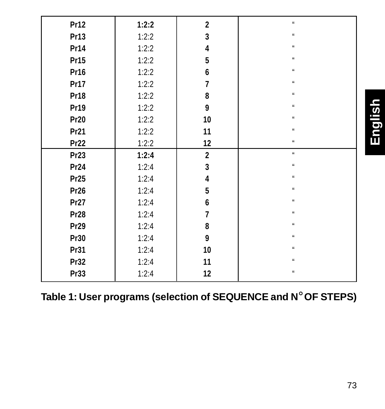| Pr12 | 1:2:2 | $\overline{2}$ | $\mathfrak{u}$ |         |
|------|-------|----------------|----------------|---------|
| Pr13 | 1:2:2 | 3              | $\mathfrak{u}$ |         |
| Pr14 | 1:2:2 | 4              | $\mathfrak{u}$ |         |
| Pr15 | 1:2:2 | 5              | $\alpha$       |         |
| Pr16 | 1:2:2 | 6              | u              |         |
| Pr17 | 1:2:2 | 7              | $\mathbf{u}$   |         |
| Pr18 | 1:2:2 | 8              | $\alpha$       |         |
| Pr19 | 1:2:2 | 9              | $\mathbf{u}$   | English |
| Pr20 | 1:2:2 | 10             | $\mathfrak{u}$ |         |
| Pr21 | 1:2:2 | 11             | $\alpha$       |         |
| Pr22 | 1:2:2 | 12             | $\alpha$       |         |
| Pr23 | 1:2:4 | $\overline{2}$ | u              |         |
| Pr24 | 1:2:4 | 3              | $\mathfrak{u}$ |         |
| Pr25 | 1:2:4 | 4              | $\alpha$       |         |
| Pr26 | 1:2:4 | 5              | $\mathfrak{u}$ |         |
| Pr27 | 1:2:4 | 6              | $\alpha$       |         |
| Pr28 | 1:2:4 | 7              | $\mathfrak{u}$ |         |
| Pr29 | 1:2:4 | 8              | u              |         |
| Pr30 | 1:2:4 | 9              | $\alpha$       |         |
| Pr31 | 1:2:4 | 10             | $\alpha$       |         |
| Pr32 | 1:2:4 | 11             | u              |         |
| Pr33 | 1:2:4 | 12             | $\mathfrak{u}$ |         |

**Table 1: User programs (selection of SEQUENCE and N**° **OF STEPS)**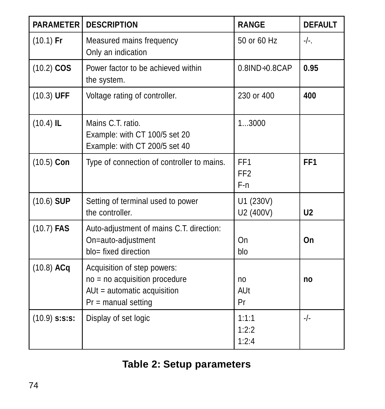| <b>PARAMETER</b> | <b>DESCRIPTION</b>                                                                                                   | RANGE                                     | <b>DEFAULT</b>  |
|------------------|----------------------------------------------------------------------------------------------------------------------|-------------------------------------------|-----------------|
| $(10.1)$ Fr      | Measured mains frequency<br>Only an indication                                                                       | 50 or 60 Hz                               | $-/-$ .         |
| $(10.2)$ COS     | Power factor to be achieved within<br>the system.                                                                    | $0.8$ IND $\div$ 0.8CAP                   | 0.95            |
| $(10.3)$ UFF     | Voltage rating of controller.                                                                                        | 230 or 400                                | 400             |
| $(10.4)$ IL      | Mains C.T. ratio<br>Example: with CT 100/5 set 20<br>Example: with CT 200/5 set 40                                   | 13000                                     |                 |
| $(10.5)$ Con     | Type of connection of controller to mains.                                                                           | FF <sub>1</sub><br>FF <sub>2</sub><br>F-n | FF <sub>1</sub> |
| $(10.6)$ SUP     | Setting of terminal used to power<br>the controller.                                                                 | U1 (230V)<br>U2 (400V)                    | U <sub>2</sub>  |
| $(10.7)$ FAS     | Auto-adjustment of mains C.T. direction:<br>On=auto-adjustment<br>blo= fixed direction                               | On<br>blo                                 | On              |
| $(10.8)$ ACq     | Acquisition of step powers:<br>no = no acquisition procedure<br>AUt = automatic acquisition<br>$Pr =$ manual setting | no<br>AUt<br>Pr                           | no              |
| $(10.9)$ s:s:s:  | Display of set logic                                                                                                 | 1:1:1<br>1:2:2<br>1:2:4                   | -/-             |

## **Table 2: Setup parameters**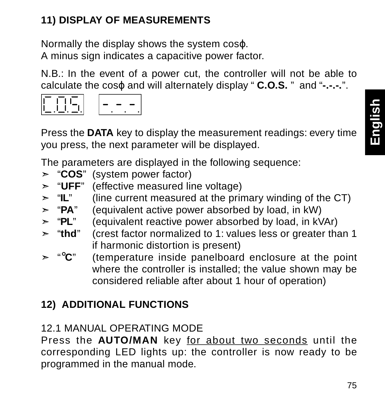#### **11) DISPLAY OF MEASUREMENTS**

Normally the display shows the system cosϕ. A minus sign indicates a capacitive power factor.

N.B.: In the event of a power cut, the controller will not be able to calculate the cosϕ and will alternately display " **C.O.S.** " and "**-.-.-.**".



Press the **DATA** key to display the measurement readings: every time you press, the next parameter will be displayed.

The parameters are displayed in the following sequence:

- ➣ "**COS**" (system power factor)
- ► "UFF" (effective measured line voltage)<br>► "IL" (line current measured at the prin
- (line current measured at the primary winding of the CT)
- ➣ "**PA**" (equivalent active power absorbed by load, in kW)
- ➣ "**PL**" (equivalent reactive power absorbed by load, in kVAr)
- ➣ "**thd**" (crest factor normalized to 1: values less or greater than 1 if harmonic distortion is present)
- ➣ "°**C**" (temperature inside panelboard enclosure at the point where the controller is installed; the value shown may be considered reliable after about 1 hour of operation)

#### **12) ADDITIONAL FUNCTIONS**

#### 12.1 MANUAL OPERATING MODE

Press the **AUTO/MAN** key for about two seconds until the corresponding LED lights up: the controller is now ready to be programmed in the manual mode.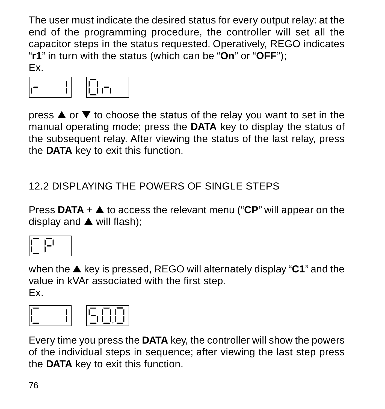The user must indicate the desired status for every output relay: at the end of the programming procedure, the controller will set all the capacitor steps in the status requested. Operatively, REGO indicates "**r1**" in turn with the status (which can be "**On**" or "**OFF**"); Ex.



press ▲ or ▼ to choose the status of the relay you want to set in the manual operating mode; press the **DATA** key to display the status of the subsequent relay. After viewing the status of the last relay, press the **DATA** key to exit this function.

12.2 DISPLAYING THE POWERS OF SINGLE STEPS

Press **DATA** + ▲ to access the relevant menu ("**CP**" will appear on the display and ▲ will flash);

|--|

when the ▲ key is pressed, REGO will alternately display "**C1**" and the value in kVAr associated with the first step. Ex.

|--|--|

Every time you press the **DATA** key, the controller will show the powers of the individual steps in sequence; after viewing the last step press the **DATA** key to exit this function.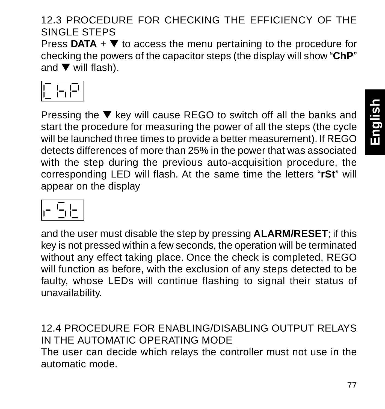#### 12.3 PROCEDURE FOR CHECKING THE EFFICIENCY OF THE SINGLE STEPS

Press  $DATA + \nabla$  to access the menu pertaining to the procedure for checking the powers of the capacitor steps (the display will show "**ChP**" and ▼ will flash).

|  |  | × | × |  |
|--|--|---|---|--|
|--|--|---|---|--|

Pressing the ▼ key will cause REGO to switch off all the banks and start the procedure for measuring the power of all the steps (the cycle will be launched three times to provide a better measurement). If REGO detects differences of more than 25% in the power that was associated with the step during the previous auto-acquisition procedure, the corresponding LED will flash. At the same time the letters "**rSt**" will appear on the display

|--|

and the user must disable the step by pressing **ALARM/RESET**; if this key is not pressed within a few seconds, the operation will be terminated without any effect taking place. Once the check is completed, REGO will function as before, with the exclusion of any steps detected to be faulty, whose LEDs will continue flashing to signal their status of unavailability.

12.4 PROCEDURE FOR ENABLING/DISABLING OUTPUT RELAYS IN THE AUTOMATIC OPERATING MODE The user can decide which relays the controller must not use in the automatic mode.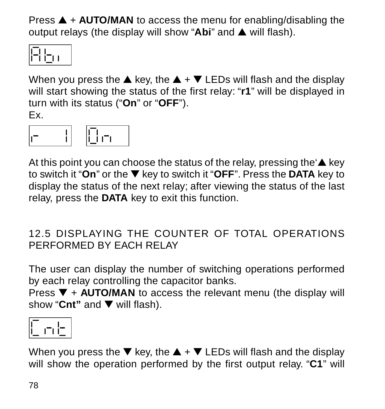Press ▲ + **AUTO/MAN** to access the menu for enabling/disabling the output relays (the display will show "**Abi**" and ▲ will flash).



When you press the  $\triangle$  key, the  $\triangle$  +  $\nabla$  LEDs will flash and the display will start showing the status of the first relay: "**r1**" will be displayed in turn with its status ("**On**" or "**OFF**"). Ex.



At this point you can choose the status of the relay, pressing the  $\triangle$  key to switch it "**On**" or the ▼ key to switch it "**OFF**". Press the **DATA** key to display the status of the next relay; after viewing the status of the last relay, press the **DATA** key to exit this function.

#### 12.5 DISPLAYING THE COUNTER OF TOTAL OPERATIONS PERFORMED BY EACH RELAY

The user can display the number of switching operations performed by each relay controlling the capacitor banks.

Press ▼ + **AUTO/MAN** to access the relevant menu (the display will show "**Cnt"** and ▼ will flash).

When you press the  $\blacktriangledown$  key, the  $\blacktriangle$  +  $\blacktriangledown$  LEDs will flash and the display will show the operation performed by the first output relay. "**C1**" will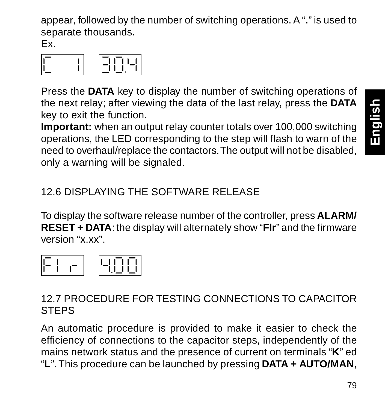appear, followed by the number of switching operations. A "**.**" is used to separate thousands.

Ex.

|--|

Press the **DATA** key to display the number of switching operations of the next relay; after viewing the data of the last relay, press the **DATA** key to exit the function.

**Important:** when an output relay counter totals over 100,000 switching operations, the LED corresponding to the step will flash to warn of the need to overhaul/replace the contactors. The output will not be disabled, only a warning will be signaled.

12.6 DISPLAYING THE SOFTWARE RELEASE

To display the software release number of the controller, press **ALARM/ RESET + DATA**: the display will alternately show "**Flr**" and the firmware version "x.xx".



#### 12.7 PROCEDURE FOR TESTING CONNECTIONS TO CAPACITOR **STEPS**

An automatic procedure is provided to make it easier to check the efficiency of connections to the capacitor steps, independently of the mains network status and the presence of current on terminals "**K**" ed "**L**". This procedure can be launched by pressing **DATA + AUTO/MAN**,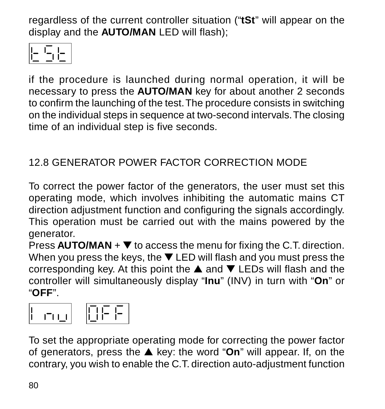regardless of the current controller situation ("**tSt**" will appear on the display and the **AUTO/MAN** LED will flash);



if the procedure is launched during normal operation, it will be necessary to press the **AUTO/MAN** key for about another 2 seconds to confirm the launching of the test. The procedure consists in switching on the individual steps in sequence at two-second intervals. The closing time of an individual step is five seconds.

#### 12.8 GENERATOR POWER FACTOR CORRECTION MODE

To correct the power factor of the generators, the user must set this operating mode, which involves inhibiting the automatic mains CT direction adjustment function and configuring the signals accordingly. This operation must be carried out with the mains powered by the generator.

Press **AUTO/MAN** + ▼ to access the menu for fixing the C.T. direction. When you press the keys, the ▼ LED will flash and you must press the corresponding key. At this point the ▲ and ▼ LEDs will flash and the controller will simultaneously display "**Inu**" (INV) in turn with "**On**" or "**OFF**".



To set the appropriate operating mode for correcting the power factor of generators, press the ▲ key: the word "**On**" will appear. If, on the contrary, you wish to enable the C.T. direction auto-adjustment function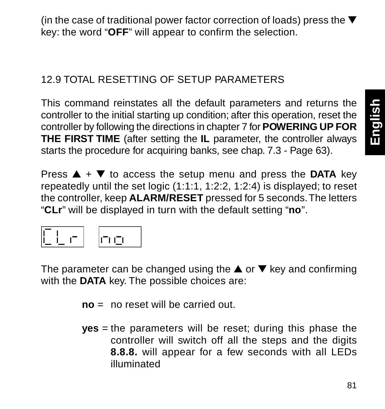(in the case of traditional power factor correction of loads) press the ▼ key: the word "**OFF**" will appear to confirm the selection.

#### 12.9 TOTAL RESETTING OF SETUP PARAMETERS

This command reinstates all the default parameters and returns the controller to the initial starting up condition; after this operation, reset the controller by following the directions in chapter 7 for **POWERING UP FOR THE FIRST TIME** (after setting the **IL** parameter, the controller always starts the procedure for acquiring banks, see chap. 7.3 - Page 63).

Press  $\triangle$  +  $\nabla$  to access the setup menu and press the **DATA** key repeatedly until the set logic (1:1:1, 1:2:2, 1:2:4) is displayed; to reset the controller, keep **ALARM/RESET** pressed for 5 seconds. The letters "**CLr**" will be displayed in turn with the default setting "**no**".



The parameter can be changed using the  $\triangle$  or  $\nabla$  key and confirming with the **DATA** key. The possible choices are:

- **no** = no reset will be carried out.
- **yes** = the parameters will be reset; during this phase the controller will switch off all the steps and the digits **8.8.8.** will appear for a few seconds with all LEDs illuminated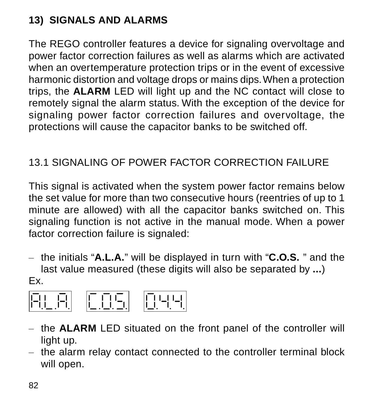#### **13) SIGNALS AND ALARMS**

The REGO controller features a device for signaling overvoltage and power factor correction failures as well as alarms which are activated when an overtemperature protection trips or in the event of excessive harmonic distortion and voltage drops or mains dips. When a protection trips, the **ALARM** LED will light up and the NC contact will close to remotely signal the alarm status. With the exception of the device for signaling power factor correction failures and overvoltage, the protections will cause the capacitor banks to be switched off.

#### 13.1 SIGNALING OF POWER FACTOR CORRECTION FAILURE

This signal is activated when the system power factor remains below the set value for more than two consecutive hours (reentries of up to 1 minute are allowed) with all the capacitor banks switched on. This signaling function is not active in the manual mode. When a power factor correction failure is signaled:

– the initials "**A.L.A.**" will be displayed in turn with "**C.O.S.** " and the last value measured (these digits will also be separated by **...**)

#### Ex.



- the **ALARM** LED situated on the front panel of the controller will light up.
- the alarm relay contact connected to the controller terminal block will open.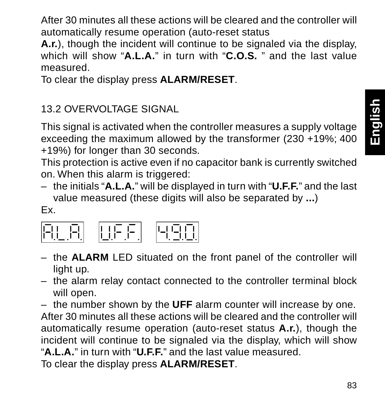After 30 minutes all these actions will be cleared and the controller will automatically resume operation (auto-reset status

**A.r.**), though the incident will continue to be signaled via the display, which will show "**A.L.A.**" in turn with "**C.O.S.** " and the last value measured.

To clear the display press **ALARM/RESET**.

#### 13.2 OVERVOLTAGE SIGNAL

This signal is activated when the controller measures a supply voltage exceeding the maximum allowed by the transformer (230 +19%: 400 +19%) for longer than 30 seconds.

This protection is active even if no capacitor bank is currently switched on. When this alarm is triggered:

– the initials "**A.L.A.**" will be displayed in turn with "**U.F.F.**" and the last value measured (these digits will also be separated by **...**)

#### Ex.



- the **ALARM** LED situated on the front panel of the controller will light up.
- the alarm relay contact connected to the controller terminal block will open.

– the number shown by the **UFF** alarm counter will increase by one. After 30 minutes all these actions will be cleared and the controller will automatically resume operation (auto-reset status **A.r.**), though the incident will continue to be signaled via the display, which will show "**A.L.A.**" in turn with "**U.F.F.**" and the last value measured.

To clear the display press **ALARM/RESET**.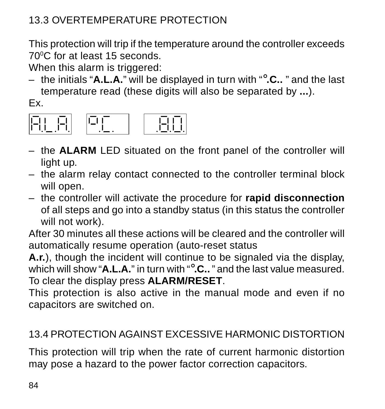#### 13.3 OVERTEMPERATURE PROTECTION

This protection will trip if the temperature around the controller exceeds 700C for at least 15 seconds.

When this alarm is triggered:

– the initials "**A.L.A.**" will be displayed in turn with "°**.C..** " and the last temperature read (these digits will also be separated by **...**).

Ex.



- the **ALARM** LED situated on the front panel of the controller will light up.
- the alarm relay contact connected to the controller terminal block will open.
- the controller will activate the procedure for **rapid disconnection** of all steps and go into a standby status (in this status the controller will not work).

After 30 minutes all these actions will be cleared and the controller will automatically resume operation (auto-reset status

**A.r.**), though the incident will continue to be signaled via the display, which will show "**A.L.A.**" in turn with "°**.C..** " and the last value measured. To clear the display press **ALARM/RESET**.

This protection is also active in the manual mode and even if no capacitors are switched on.

#### 13.4 PROTECTION AGAINST EXCESSIVE HARMONIC DISTORTION

This protection will trip when the rate of current harmonic distortion may pose a hazard to the power factor correction capacitors.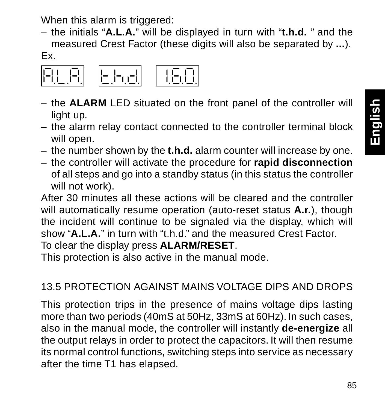When this alarm is triggered:

– the initials "**A.L.A.**" will be displayed in turn with "**t.h.d.** " and the measured Crest Factor (these digits will also be separated by **...**). Ex.



- the **ALARM** LED situated on the front panel of the controller will light up.
- the alarm relay contact connected to the controller terminal block will open.
- the number shown by the **t.h.d.** alarm counter will increase by one.
- the controller will activate the procedure for **rapid disconnection** of all steps and go into a standby status (in this status the controller will not work).

After 30 minutes all these actions will be cleared and the controller will automatically resume operation (auto-reset status **A.r.**), though the incident will continue to be signaled via the display, which will show "**A.L.A.**" in turn with "t.h.d." and the measured Crest Factor.

To clear the display press **ALARM/RESET**.

This protection is also active in the manual mode.

#### 13.5 PROTECTION AGAINST MAINS VOLTAGE DIPS AND DROPS

This protection trips in the presence of mains voltage dips lasting more than two periods (40mS at 50Hz, 33mS at 60Hz). In such cases, also in the manual mode, the controller will instantly **de-energize** all the output relays in order to protect the capacitors. It will then resume its normal control functions, switching steps into service as necessary after the time T1 has elapsed.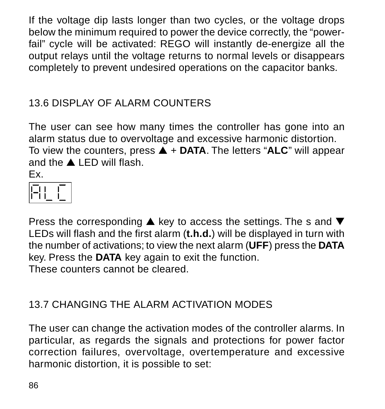If the voltage dip lasts longer than two cycles, or the voltage drops below the minimum required to power the device correctly, the "powerfail" cycle will be activated: REGO will instantly de-energize all the output relays until the voltage returns to normal levels or disappears completely to prevent undesired operations on the capacitor banks.

#### 13.6 DISPLAY OF ALARM COUNTERS

The user can see how many times the controller has gone into an alarm status due to overvoltage and excessive harmonic distortion. To view the counters, press ▲ + **DATA**. The letters "**ALC**" will appear and the ▲ LED will flash. Ex.



Press the corresponding ▲ key to access the settings. The s and ▼ LEDs will flash and the first alarm (**t.h.d.**) will be displayed in turn with the number of activations; to view the next alarm (**UFF**) press the **DATA** key. Press the **DATA** key again to exit the function. These counters cannot be cleared.

#### 13.7 CHANGING THE ALARM ACTIVATION MODES

The user can change the activation modes of the controller alarms. In particular, as regards the signals and protections for power factor correction failures, overvoltage, overtemperature and excessive harmonic distortion, it is possible to set: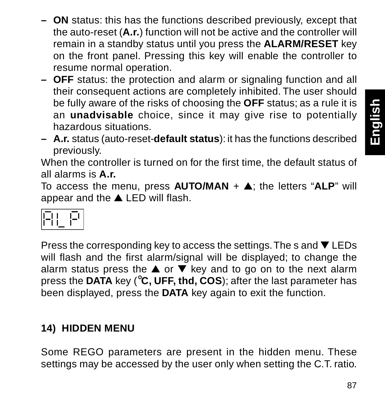- **ON** status: this has the functions described previously, except that the auto-reset (**A.r.**) function will not be active and the controller will remain in a standby status until you press the **ALARM/RESET** key on the front panel. Pressing this key will enable the controller to resume normal operation.
- **OFF** status: the protection and alarm or signaling function and all their consequent actions are completely inhibited. The user should be fully aware of the risks of choosing the **OFF** status; as a rule it is an **unadvisable** choice, since it may give rise to potentially hazardous situations.
- **A.r.** status (auto-reset-**default status**): it has the functions described previously.

When the controller is turned on for the first time, the default status of all alarms is **A.r.**

To access the menu, press **AUTO/MAN** + ▲; the letters "**ALP**" will appear and the ▲ LED will flash.



Press the corresponding key to access the settings. The s and ▼ LEDs will flash and the first alarm/signal will be displayed; to change the alarm status press the  $\triangle$  or  $\nabla$  key and to go on to the next alarm press the **DATA** key (°**C, UFF, thd, COS**); after the last parameter has been displayed, press the **DATA** key again to exit the function.

#### **14) HIDDEN MENU**

Some REGO parameters are present in the hidden menu. These settings may be accessed by the user only when setting the C.T. ratio.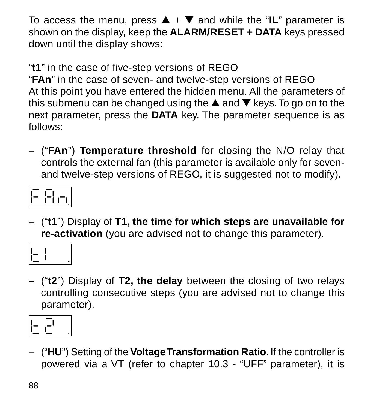To access the menu, press ▲ + ▼ and while the "**IL**" parameter is shown on the display, keep the **ALARM/RESET + DATA** keys pressed down until the display shows:

"**t1**" in the case of five-step versions of REGO

"**FAn**" in the case of seven- and twelve-step versions of REGO At this point you have entered the hidden menu. All the parameters of this submenu can be changed using the ▲ and ▼ keys. To go on to the next parameter, press the **DATA** key. The parameter sequence is as follows:

– ("**FAn**") **Temperature threshold** for closing the N/O relay that controls the external fan (this parameter is available only for sevenand twelve-step versions of REGO, it is suggested not to modify).



– ("**t1**") Display of **T1, the time for which steps are unavailable for re-activation** (you are advised not to change this parameter).



– ("**t2**") Display of **T2, the delay** between the closing of two relays controlling consecutive steps (you are advised not to change this parameter).



– ("**HU**") Setting of the **Voltage Transformation Ratio**. If the controller is powered via a VT (refer to chapter 10.3 - "UFF" parameter), it is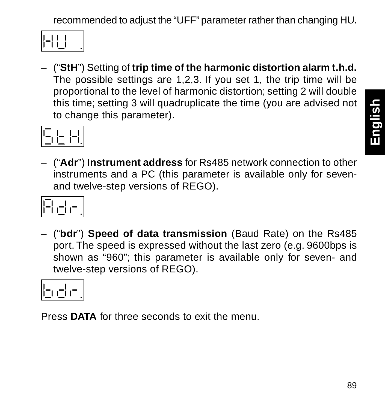recommended to adjust the "UFF" parameter rather than changing HU.

|--|--|

– ("**StH**") Setting of **trip time of the harmonic distortion alarm t.h.d.** The possible settings are 1,2,3. If you set 1, the trip time will be proportional to the level of harmonic distortion; setting 2 will double this time; setting 3 will quadruplicate the time (you are advised not to change this parameter).



– ("**Adr**") **Instrument address** for Rs485 network connection to other instruments and a PC (this parameter is available only for sevenand twelve-step versions of REGO).



– ("**bdr**") **Speed of data transmission** (Baud Rate) on the Rs485 port. The speed is expressed without the last zero (e.g. 9600bps is shown as "960"; this parameter is available only for seven- and twelve-step versions of REGO).



Press **DATA** for three seconds to exit the menu.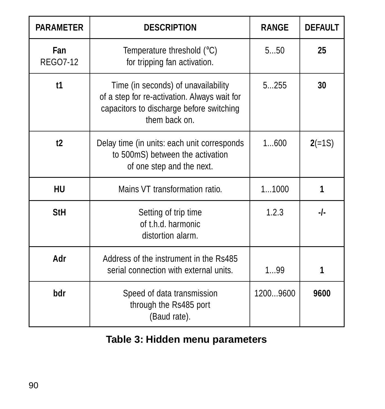| <b>PARAMETER</b> | <b>DESCRIPTION</b>                                                                                                                               | <b>RANGE</b> | <b>DEFAULT</b> |
|------------------|--------------------------------------------------------------------------------------------------------------------------------------------------|--------------|----------------|
| Fan<br>REGO7-12  | Temperature threshold (°C)<br>for tripping fan activation.                                                                                       | 550          | 25             |
| t1               | Time (in seconds) of unavailability<br>of a step for re-activation. Always wait for<br>capacitors to discharge before switching<br>them back on. | 5255         | 30             |
| t2               | Delay time (in units: each unit corresponds<br>to 500mS) between the activation<br>of one step and the next.                                     | 1600         | $2(=1S)$       |
| HU               | Mains VT transformation ratio                                                                                                                    | 11000        | 1              |
| StH              | Setting of trip time<br>of th d harmonic<br>distortion alarm                                                                                     | 1.2.3        | -1-            |
| Adr              | Address of the instrument in the Rs485<br>serial connection with external units.                                                                 | 199          | 1              |
| hdr              | Speed of data transmission<br>through the Rs485 port<br>(Baud rate).                                                                             | 12009600     | 9600           |

**Table 3: Hidden menu parameters**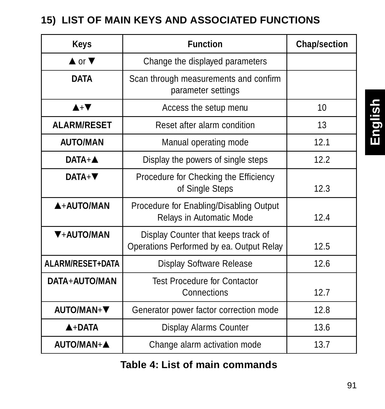#### **15) LIST OF MAIN KEYS AND ASSOCIATED FUNCTIONS**

| Keys                         | <b>Function</b>                                                                 | <b>Chap/section</b> |
|------------------------------|---------------------------------------------------------------------------------|---------------------|
| $\blacktriangle$ or $\nabla$ | Change the displayed parameters                                                 |                     |
| <b>DATA</b>                  | Scan through measurements and confirm<br>parameter settings                     |                     |
| $A + \nabla$                 | Access the setup menu                                                           | 10                  |
| <b>ALARM/RESET</b>           | Reset after alarm condition                                                     | 13                  |
| <b>AUTO/MAN</b>              | Manual operating mode                                                           | 121                 |
| $DATA + A$                   | Display the powers of single steps                                              | 12.2                |
| $DATA + \nabla$              | Procedure for Checking the Efficiency<br>of Single Steps                        | 12.3                |
| A+AUTO/MAN                   | Procedure for Enabling/Disabling Output<br>Relays in Automatic Mode             | 124                 |
| <b>V+AUTO/MAN</b>            | Display Counter that keeps track of<br>Operations Performed by ea. Output Relay | 12.5                |
| ALARM/RESET+DATA             | Display Software Release                                                        | 12.6                |
| DATA+AUTO/MAN                | <b>Test Procedure for Contactor</b><br>Connections                              | 12.7                |
| AUTO/MAN+V                   | Generator power factor correction mode                                          | 12.8                |
| $A+DATA$                     | Display Alarms Counter                                                          | 13.6                |
| AUTO/MAN+A                   | Change alarm activation mode                                                    | 13.7                |

**Table 4: List of main commands**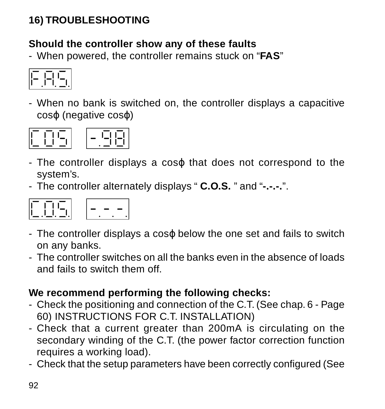#### **16) TROUBLESHOOTING**

#### **Should the controller show any of these faults**

- When powered, the controller remains stuck on "**FAS**"



- When no bank is switched on, the controller displays a capacitive cosϕ (negative cosϕ)



- The controller displays a cosϕ that does not correspond to the system's.
- The controller alternately displays " **C.O.S.** " and "**-.-.-.**".



- The controller displays a cosϕ below the one set and fails to switch on any banks.
- The controller switches on all the banks even in the absence of loads and fails to switch them off.

#### **We recommend performing the following checks:**

- Check the positioning and connection of the C.T. (See chap. 6 Page 60) INSTRUCTIONS FOR C.T. INSTALLATION)
- Check that a current greater than 200mA is circulating on the secondary winding of the C.T. (the power factor correction function requires a working load).
- Check that the setup parameters have been correctly configured (See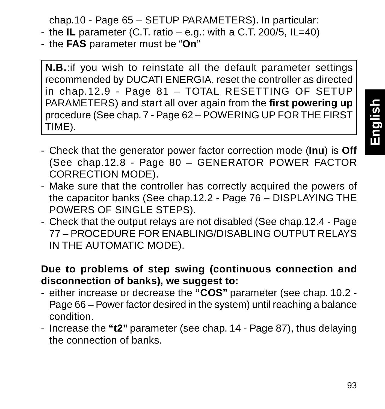chap.10 - Page 65 – SETUP PARAMETERS). In particular:

- the **IL** parameter (C.T. ratio e.g.: with a C.T. 200/5, IL=40)
- the **FAS** parameter must be "**On**"

**N.B.**:if you wish to reinstate all the default parameter settings recommended by DUCATI ENERGIA, reset the controller as directed in chap.12.9 - Page 81 – TOTAL RESETTING OF SETUP PARAMETERS) and start all over again from the **first powering up** procedure (See chap. 7 - Page 62 – POWERING UP FOR THE FIRST TIME).

- **English**
- Check that the generator power factor correction mode (**Inu**) is **Off** (See chap.12.8 - Page 80 – GENERATOR POWER FACTOR CORRECTION MODE).
- Make sure that the controller has correctly acquired the powers of the capacitor banks (See chap.12.2 - Page 76 – DISPLAYING THE POWERS OF SINGLE STEPS).
- Check that the output relays are not disabled (See chap.12.4 Page 77 – PROCEDURE FOR ENABLING/DISABLING OUTPUT RELAYS IN THE AUTOMATIC MODE).

#### **Due to problems of step swing (continuous connection and disconnection of banks), we suggest to:**

- either increase or decrease the **"COS"** parameter (see chap. 10.2 Page 66 – Power factor desired in the system) until reaching a balance condition.
- Increase the **"t2"** parameter (see chap. 14 Page 87), thus delaying the connection of banks.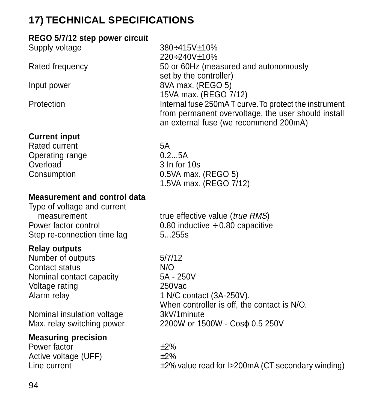#### **17) TECHNICAL SPECIFICATIONS**

#### **REGO 5/7/12 step power circuit**

| Supply voltage                      | 380+415V+10%<br>220+240V+10%                                                                                                                          |
|-------------------------------------|-------------------------------------------------------------------------------------------------------------------------------------------------------|
| Rated frequency                     | 50 or 60Hz (measured and autonomously<br>set by the controller)                                                                                       |
| Input power                         | 8VA max. (REGO 5)<br>15VA max. (REGO 7/12)                                                                                                            |
| Protection                          | Internal fuse 250mAT curve. To protect the instrument<br>from permanent overvoltage, the user should install<br>an external fuse (we recommend 200mA) |
| <b>Current input</b>                |                                                                                                                                                       |
| Rated current                       | 5A                                                                                                                                                    |
| Operating range                     | 0.25A                                                                                                                                                 |
| Overload                            | 3 In for 10s                                                                                                                                          |
| Consumption                         | 0.5VA max. (REGO 5)                                                                                                                                   |
|                                     | 1.5VA max. (REGO 7/12)                                                                                                                                |
| <b>Measurement and control data</b> |                                                                                                                                                       |
| Type of voltage and current         |                                                                                                                                                       |
| measurement                         | true effective value (true RMS)                                                                                                                       |
| Power factor control                | 0.80 inductive $\div$ 0.80 capacitive                                                                                                                 |
| Step re-connection time lag         | 5255s                                                                                                                                                 |
| <b>Relay outputs</b>                |                                                                                                                                                       |
| Number of outputs                   | 5/7/12                                                                                                                                                |
| Contact status                      | N/O                                                                                                                                                   |
| Nominal contact capacity            | 5A - 250V                                                                                                                                             |
| Voltage rating                      | $250$ Vac                                                                                                                                             |
| Alarm relay                         | 1 N/C contact (3A-250V).<br>When controller is off, the contact is N/O.                                                                               |
| Nominal insulation voltage          | 3kV/1minute                                                                                                                                           |
| Max. relay switching power          | 2200W or 1500W - Coso 0.5 250V                                                                                                                        |
| <b>Measuring precision</b>          |                                                                                                                                                       |
| Power factor                        | $+2%$                                                                                                                                                 |
| Active voltage (UFF)                | $+2%$                                                                                                                                                 |
| Line current                        | $\pm$ 2% value read for I>200mA (CT secondary winding)                                                                                                |
|                                     |                                                                                                                                                       |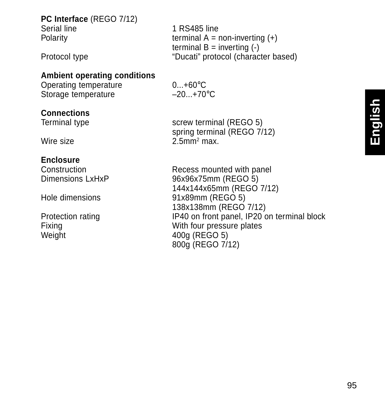## **PC Interface** (REGO 7/12)

Serial line 1 RS485 line Polarity **Example 20** terminal A = non-inverting (+) terminal  $B =$  inverting  $($ - $)$ Protocol type "Ducati" protocol (character based)

#### **Ambient operating conditions**

Operating temperature  $0...+60^{\circ}$ C<br>Storage temperature  $-20...+70^{\circ}$ C Storage temperature

## **Connections**<br>Terminal type

Wire size

#### **Enclosure**

Weight 400g (REGO 5)

screw terminal (REGO 5) spring terminal (REGO 7/12)  $2.5$ mm<sup>2</sup> max.

Construction Recess mounted with panel<br>
Dimensions LyHyP<br>  $\frac{Q_{\text{AV}}}{Q_{\text{BV}}Q_{\text{BV}}}$ 96x96x75mm (REGO 5) 144x144x65mm (REGO 7/12) Hole dimensions 91x89mm (REGO 5) 138x138mm (REGO 7/12) Protection rating **IP40** on front panel, IP20 on terminal block<br>Fixing **IP40** on front panel, IP20 on terminal block With four pressure plates 800g (REGO 7/12)